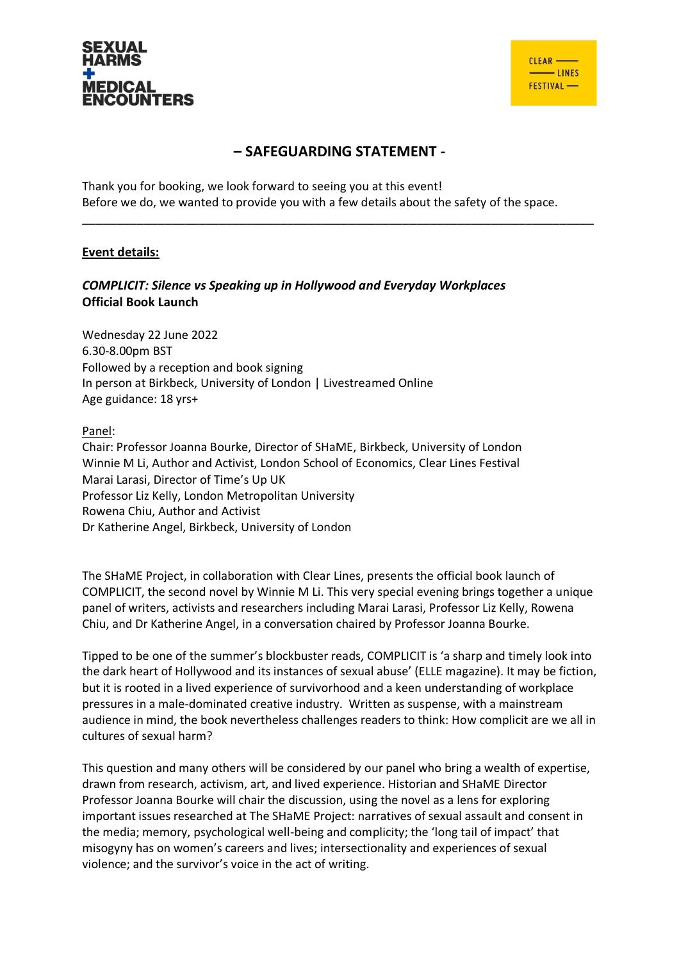

## **– SAFEGUARDING STATEMENT -**

\_\_\_\_\_\_\_\_\_\_\_\_\_\_\_\_\_\_\_\_\_\_\_\_\_\_\_\_\_\_\_\_\_\_\_\_\_\_\_\_\_\_\_\_\_\_\_\_\_\_\_\_\_\_\_\_\_\_\_\_\_\_\_\_\_\_\_\_\_\_\_\_\_\_\_

Thank you for booking, we look forward to seeing you at this event! Before we do, we wanted to provide you with a few details about the safety of the space.

## **Event details:**

## *COMPLICIT: Silence vs Speaking up in Hollywood and Everyday Workplaces* **Official Book Launch**

Wednesday 22 June 2022 6.30-8.00pm BST Followed by a reception and book signing In person at Birkbeck, University of London | Livestreamed Online Age guidance: 18 yrs+

Panel:

Chair: Professor Joanna Bourke, Director of SHaME, Birkbeck, University of London Winnie M Li, Author and Activist, London School of Economics, Clear Lines Festival Marai Larasi, Director of Time's Up UK Professor Liz Kelly, London Metropolitan University Rowena Chiu, Author and Activist Dr Katherine Angel, Birkbeck, University of London

The SHaME Project, in collaboration with Clear Lines, presents the official book launch of COMPLICIT, the second novel by Winnie M Li. This very special evening brings together a unique panel of writers, activists and researchers including Marai Larasi, Professor Liz Kelly, Rowena Chiu, and Dr Katherine Angel, in a conversation chaired by Professor Joanna Bourke.

Tipped to be one of the summer's blockbuster reads, COMPLICIT is 'a sharp and timely look into the dark heart of Hollywood and its instances of sexual abuse' (ELLE magazine). It may be fiction, but it is rooted in a lived experience of survivorhood and a keen understanding of workplace pressures in a male-dominated creative industry. Written as suspense, with a mainstream audience in mind, the book nevertheless challenges readers to think: How complicit are we all in cultures of sexual harm?

This question and many others will be considered by our panel who bring a wealth of expertise, drawn from research, activism, art, and lived experience. Historian and SHaME Director Professor Joanna Bourke will chair the discussion, using the novel as a lens for exploring important issues researched at The SHaME Project: narratives of sexual assault and consent in the media; memory, psychological well-being and complicity; the 'long tail of impact' that misogyny has on women's careers and lives; intersectionality and experiences of sexual violence; and the survivor's voice in the act of writing.